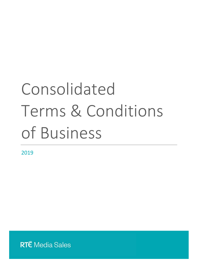# Consolidated Terms & Conditions of Business

2019

**RT**E Media Sales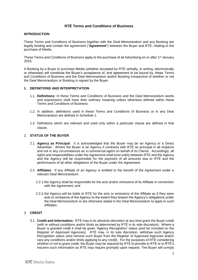# **RTÉ Terms and Conditions of Business**

#### **INTRODUCTION**

These Terms and Conditions of Business together with the Deal Memorandum and any Booking are legally binding and contain the agreement ("**Agreement**") between the Buyer and RTÉ, relating to the purchase of Media.

These Terms and Conditions of Business apply to the purchase of all Advertising on or after 1<sup>st</sup> January 2019.

A Booking by a Buyer to purchase Media (whether accepted by RTÉ verbally, in writing, electronically or otherwise) will constitute the Buyer's acceptance of, and agreement to be bound by, these Terms and Conditions of Business and the Deal Memorandum and/or Booking irrespective of whether or not the Deal Memorandum or Booking is signed by the Buyer.

#### <span id="page-1-0"></span>**1. DEFINITIONS AND INTERPRETATION**

- 1.1. **Definitions:** In these Terms and Conditions of Business and the Deal Memorandum words and expressions shall have their ordinary meaning unless otherwise defined within these Terms and Conditions of Business.
- 1.2. In addition, definitions used in these Terms and Conditions of Business or in any Deal Memorandum are defined in Schedule 1.
- 1.3. Definitions which are relevant and used only within a particular clause are defined in that clause.

#### <span id="page-1-1"></span>2. **STATUS OF THE BUYER**

- 2.1. **Agency as Principal**: It is acknowledged that the Buyer may be an Agency or a Direct Advertiser. Where the Buyer is an Agency it contracts with RTÉ as principal in all respects and not in any circumstances as a commercial agent on behalf of its Clients. Accordingly, all rights and responsibilities under the Agreement shall exist solely between RTÉ and the Agency and the Agency will be responsible for the payment of all amounts due to RTÉ and the performance of all other obligations of the Buyer under the Agreement.
- 2.2. **Affiliates**: If any Affiliate of an Agency is entitled to the benefit of the Agreement under a relevant Deal Memorandum:
	- 2.2.1.the Agency shall be responsible for the acts and/or omissions of its Affiliate in connection with the Agreement; and
	- 2.2.2.the Agency will be liable to RTÉ for the acts or omissions of the Affiliate as if they were acts or omissions of the Agency to the extent they breach the Agency's obligations under the Deal Memorandum or are otherwise stated in the Deal Memorandum to apply to such **Affiliates**

#### <span id="page-1-2"></span>3. **CREDIT**

3.1. **Credit and Information:** RTÉ may in its absolute discretion at any time grant the Buyer credit (with or without conditions and/or limits as determined by RTÉ in its sole discretion). Where a Buyer is granted credit it shall be given 'Agency Recognition' status (and be included on the Register of Approved Agencies). RTÉ may, in its sole discretion, withdraw such Agency Recognition status (and remove such Buyer from the Register of Approved Agencies and/or vary any conditions and/or limits applying to any credit). For the purposes of RTÉ considering whether or not to grant credit, the Buyer may be required by RTÉ to provide to RTÉ or to RTÉ's insurers such information as RTÉ may require promptly upon request. The Buyer will comply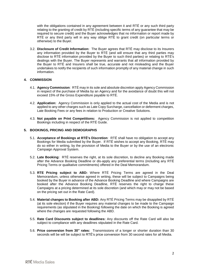with the obligations contained in any agreement between it and RTÉ or any such third party relating to the granting of credit by RTÉ (including specific terms of any guarantee that may be required to secure credit) and the Buyer acknowledges that no information or report made by RTÉ or any third party will in any way oblige RTÉ to grant credit (on particular terms or otherwise) to the Buyer.

3.2. **Disclosure of Credit Information:** The Buyer agrees that RTÉ may disclose to its Insurers any information provided by the Buyer to RTÉ (and will ensure that any third parties may disclose to RTÉ information provided by the Buyer to such third parties) or relating to RTÉ's dealings with the Buyer. The Buyer represents and warrants that all information provided by the Buyer to RTÉ and Insurers shall be true, accurate and not misleading and the Buyer undertakes to notify the recipients of such information promptly of any material change in such information.

## <span id="page-2-0"></span>**4. COMMISSION**

- 4.1. **Agency Commission**: RTÉ may in its sole and absolute discretion apply Agency Commission in respect of the purchase of Media by an Agency and for the avoidance of doubt this will not exceed 15% of the Gross Expenditure payable to RTÉ.
- 4.2. **Application:** Agency Commission is only applied to the actual cost of the Media and is not applied to any other charges such as Late Copy Surcharge, cancellation or deferment charges, Late Booking Fees or any fees in relation to Production or Creative Solutions.
- 4.3. **Not payable on Print Competitions:** Agency Commission is not applied to competition Bookings including in respect of the RTÉ Guide.

#### **5. BOOKINGS, PRICING AND DEMOGRAPHS**

- 5.1. **Acceptance of Bookings at RTÉ's Discretion**: RTÉ shall have no obligation to accept any Bookings for Media submitted by the Buyer. If RTÉ wishes to accept any Booking, RTÉ may do so either in writing, by the provision of Media to the Buyer or by the use of an electronic Campaign Approval System.
- 5.2. **Late Booking:** RTÉ reserves the right, at its sole discretion, to decline any Booking made after the Advance Booking Deadline or dis-apply any preferential terms (including any RTÉ Pricing Terms or qualitative commitments) offered in the Deal Memorandum.
- 5.3. **RTE Pricing subject to ABD:** Where RTÉ Pricing Terms are agreed in the Deal Memorandum, unless otherwise agreed in writing, these will be subject to Campaigns being booked by the Buyer in advance of the Advance Booking Deadline and where Campaigns are booked after the Advance Booking Deadline, RTÉ reserves the right to charge these Campaigns at a pricing determined at its sole discretion (and which may or may not be based on the pricing set out in the Rate Card).
- 5.4. **Material changes to Booking after ABD:** Any RTÉ Pricing Terms may be disapplied by RTÉ (at its sole election) if the Buyer requires any material changes to be made to the Campaign requirements (as stipulated in the Booking) following the date on which the Booking is agreed where the changes are requested following the ABD.
- 5.5. **Rate Card Discounts subject to deadlines:** Any discounts off the Rate Card will also be subject to compliance with any deadlines stipulated in the Rate Card.
- 5.6. **Price conversion from 30" rates:** Transmissions of a longer or shorter duration than 30 seconds will be will be subject to RTÉ's price conversion from 30 second rates for all Media.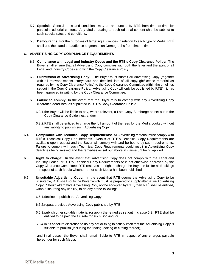- 5.7. **Specials:** Special rates and conditions may be announced by RTÉ from time to time for particular editorial content. Any Media relating to such editorial content shall be subject to such special rates and conditions.
- 5.8. **Demographs:** For the purposes of targeting audiences in relation to each type of Media, RTÉ shall use the standard audience segmentation Demographs from time to time.

#### <span id="page-3-3"></span>**6. ADVERTISING COPY COMPLIANCE REQUIREMENTS**

- 6.1. **Compliance with Legal and Industry Codes and the RTÉ's Copy Clearance Policy:** The Buyer shall ensure that all Advertising Copy complies with both the letter and the spirit of all Legal and Industry Codes and with the Copy Clearance Policy.
- 6.2. **Submission of Advertising Copy:** The Buyer must submit all Advertising Copy (together with all relevant scripts, storyboard and detailed lists of all copyright/licence material as required by the Copy Clearance Policy) to the Copy Clearance Committee within the timelines set out in the Copy Clearance Policy. Advertising Copy will only be published by RTÉ' if it has been approved in writing by the Copy Clearance Committee.
- <span id="page-3-0"></span>6.3. **Failure to comply:** In the event that the Buyer fails to comply with any Advertising Copy clearance deadlines, as stipulated in RTÉ's Copy Clearance Policy:
	- 6.3.1.the Buyer will be liable to pay, where relevant, a Late Copy Surcharge as set out in the Copy Clearance Guidelines; and/or
	- 6.3.2.RTÉ shall be entitled to charge the full amount of the fees for the Media booked without any liability to publish such Advertising Copy.
- 6.4. **Compliance with Technical Copy Requirements:** All Advertising material must comply with RTÉ's Technical Copy Requirements. Details of RTÉ's Technical Copy Requirements are available upon request and the Buyer will comply with and be bound by such requirements. Failure to comply with such Technical Copy Requirements could result in Advertising Copy deadlines being missed and the remedies as set out above in clause [6.3](#page-3-0) being applied.
- <span id="page-3-1"></span>6.5. **Right to charge:** In the event that Advertising Copy does not comply with the Legal and Industry Codes, or RTÉ's Technical Copy Requirements or is not otherwise approved by the Copy Clearance Committee, RTÉ reserves the right to charge the Buyer in full for all Bookings in respect of such Media whether or not such Media has been published.
- <span id="page-3-2"></span>6.6. **Unsuitable Advertising Copy:** In the event that RTÉ deems the Advertising Copy to be unsuitable, RTÉ shall notify the Buyer which must be prepared to supply alternative Advertising Copy. Should alternative Advertising Copy not be accepted by RTE, then RTÉ shall be entitled, without incurring any liability, to do any of the following:
	- 6.6.1.decline to publish the Advertising Copy;
	- 6.6.2.repeat previous Advertising Copy published by RTÉ;
	- 6.6.3.publish other suitable material (or apply the remedies set out in clause [6.3.](#page-3-0) RTÉ shall be entitled to be paid the full rate for such Booking; or
	- 6.6.4.in its absolute discretion to do any act or thing to satisfy itself that the Advertising Copy is suitable to publish (including the fading, editing or cutting thereof),

and in all cases, the Buyer shall remain liable to RTÉ in respect of any charges payable hereunder for such Media.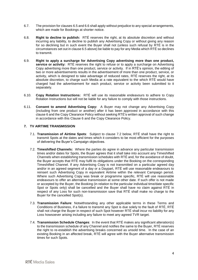- 6.7. The provision for clauses [6.5](#page-3-1) and [6.6](#page-3-2) shall apply without prejudice to any special arrangements, which are made for Bookings at shorter notice.
- 6.8. **Right to decline to publish:** RTÉ reserves the right, at its absolute discretion and without incurring any liability, to decline to publish any Advertising Copy or without giving any reason for so declining but in such event the Buyer shall not (unless such refusal by RTÉ is in the circumstances set out in claus[e 6.5](#page-3-1) above) be liable to pay for any Media which RTÉ so declines to transmit.
- 6.9. **Right to apply a surcharge for Advertising Copy advertising more than one product, service or activity:** RTÉ reserves the right to refuse or to apply a surcharge on Advertising Copy advertising more than one product, service or activity. If in RTÉ's opinion, the editing of two or more advertisements results in the advertisement of more than one product, service, or activity, which is designed to take advantage of reduced rates, RTÉ reserves the right, at its absolute discretion, to charge such Media at a rate equivalent to the which RTÉ would have charged had the advertisement for each product, service or activity been submitted to it separately.
- 6.10. **Copy Rotation Instructions:** RTÉ will use its reasonable endeavours to adhere to Copy Rotation Instructions but will not be liable for any failure to comply with those instructions.
- 6.11. **Consent to amend Advertising Copy:** A Buyer may not change any Advertising Copy (including from one product or another) after it has been approved in accordance with this clause [6](#page-3-3) and the Copy Clearance Policy without seeking RTÉ's written approval of such change in accordance with this Clause 6 and the Copy Clearance Policy.

## **7. TV AIRTIME TRANSMISSION**

- 7.1. **Transmission of Airtime Spots**: Subject to clause [7.2](#page-4-0) below, RTÉ shall have the right to transmit Spots at the dates and times which it considers to be most efficient for the purposes of delivering the Buyer's Campaign objectives.
- <span id="page-4-0"></span>7.2. **Timeshifted Channels:** Where the parties do agree in advance any particular transmission times and/or dates for Spots, the Buyer agrees that it shall take into account any Timeshifted Channels when establishing transmission schedules with RTÉ and, for the avoidance of doubt, the Buyer accepts that RTÉ may fulfil its obligations under the Booking on the corresponding Timeshifted Channel. If any Advertising Copy is not transmitted on a particular agreed day and/or in an agreed segment of a day or a Daypart, RTÉ will use reasonable endeavours to reinsert such Advertising Copy in equivalent Airtime within the relevant Campaign period. Where such Advertising Copy was break or programme specific, RTÉ will use reasonable endeavours to offer an alternative transmission at some other date. If such offer is not made or accepted by the Buyer, the Booking (in relation to the particular individual time/date specific Spot or Spots only) shall be cancelled and the Buyer shall have no claim against RTÉ in respect of any Loss for such non-transmission save that RTÉ shall make no charge to the Buyer for the cancelled Spot(s).
- 7.3. **Transmission Failure**: Notwithstanding any other applicable terms in these Terms and Conditions of Business, if a failure to transmit any Spot is due solely to the fault of RTÉ, RTÉ shall not charge the Buyer in respect of such Spot however RTÉ shall incur no liability for any Loss howsoever arising including any failure to meet any agreed TVR target.
- 7.4. **Transmission Schedule Changes**: In the event that RTÉ makes any significant alteration(s) to the transmission schedule of any Channel and notifies the same to the Buyer, RTÉ reserves the right to re-establish the advertising breaks concerned as unsold time. In the case of an existing Booking in an affected break, RTÉ will agree with the Buyer alternative transmission times for such Spots.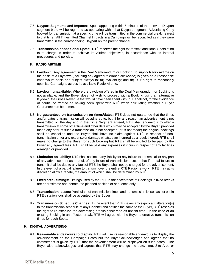- 7.5. **Daypart Segments and Impacts**: Spots appearing within 5 minutes of the relevant Daypart segment band will be regarded as appearing within that Daypart segment. Advertising Copy booked for transmission at a specific time will be transmitted in the commercial break nearest to that time. All Timeshifted Channel Impacts in a Campaign will be reconciled as if they were transmitted in the corresponding Daypart on the parent channel.
- 7.6. **Transmission of additional Spots:** RTÉ reserves the right to transmit additional Spots at no extra charge in order to achieve its Airtime objectives, in accordance with its internal procedures and policies.

#### **8. RADIO AIRTIME**

- 8.1. **Laydown:** Any agreement in the Deal Memorandum or Booking to supply Radio Airtime on the basis of a Laydown (including any agreed tolerance allowance) is given on a reasonable endeavours basis and subject always to: (a) availability; and (b) RTÉ's right to reasonably optimise Campaigns across its available Radio Airtime.
- 8.2. **Laydown unavailable:** Where the Laydown offered in the Deal Memorandum or Booking is not available, and the Buyer does not wish to proceed with a Booking using an alternative laydown, the Gross Revenue that would have been spent with RTÉ shall not, for the avoidance of doubt, be treated as having been spent with RTÉ when calculating whether a Buyer Guarantee has been met.
- 8.3. **No guarantees on transmission on times/dates:** RTÉ does not guarantee that the times and/or dates of transmission will be adhered to, but, if for any reason an advertisement is not transmitted on the day and in the Time Segment agreed, RTÉ shall endeavour to offer a transmission at some other time and other date which may be accepted by the Buyer, provided that if any offer of such a transmission is not accepted (or is not made) the original bookings shall be cancelled and the Buyer shall have no claim against RTÉ in respect of nontransmission or for any expense or damage whatsoever incurred as a result thereof. RTÉ shall make no charge to the Buyer for such booking but RTÉ shall be entitled to be paid by the Buyer any agreed fees. RTÉ shall be paid any expenses it incurs in respect of any facilities arranged or provided.
- 8.4. **Limitation on liability:** RTÉ shall not incur any liability for any failure to transmit all or any part of any advertisement as a result of any failure of transmission, except that if a total failure to transmit shall be due to any fault of RTÉ the Buyer shall not be charged for the advertisement. In the event of a partial failure to transmit over the entire RTÉ Radio network, RTÉ may at its discretion allow a rebate, the amount of which shall be determined by RTÉ.
- 8.5. **Fixed break timings:** Timings used by the RTÉ in the acceptance of Bookings in fixed breaks are approximate and denote the planned position or sequence only.
- 8.6. **Transmission losses:** Particulars of transmission times and transmission losses as set out in RTÉ's station logs shall be accepted by the Buyer
- 8.7. **Transmission Schedule Changes**: In the event that RTÉ makes any significant alteration(s) to the transmission schedule of any Channel and notifies the same to the Buyer, RTÉ reserves the right to re-establish the advertising breaks concerned as unsold time. In the case of an existing Booking in an affected break, RTÉ will agree with the Buyer alternative transmission times for such Spots.

## <span id="page-5-1"></span>**9. DIGITAL ADVERTISING**

<span id="page-5-0"></span>9.1. **Reasonable endeavours to display:** RTÉ will use its reasonable endeavours to display the advertisement on the Campaign Dates but the Buyer acknowledges and agrees that no commitment is given by RTÉ that the advertisement will be displayed on such dates. The Buyer also acknowledges and agrees that RTÉ may change the date, time, Site Area or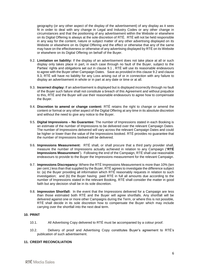geography (or any other aspect of the display of the advertisement) of any display as it sees fit in order to deal with any change in Legal and Industry Codes or any other change in circumstances and that the positioning of any advertisement within the Website or elsewhere on its Digital Offering is always at the sole discretion of RTÉ. RTÉ will not be held responsible in any way for the content, nature or subject matter of any other advertising displayed on its Website or elsewhere on its Digital Offering and the effect or otherwise that any of the same may have on the effectiveness or otherwise of any advertising displayed by RTÉ on its Website or elsewhere on its Digital Offering on behalf of the Buyer.

- <span id="page-6-0"></span>9.2. **Limitation on liability:** If the display of an advertisement does not take place at all or such display only takes place in part, in each case through no fault of the Buyer, subject to the Parties' rights and obligations set out in clause [9.1](#page-5-0) , RTÉ will use its reasonable endeavours to agree with the Buyer other Campaign Dates. Save as provided in this clause [9.2](#page-6-0) and clause [9.3,](#page-6-1) RTÉ will have no liability for any Loss arising out of or in connection with any failure to display an advertisement in whole or in part at any date or time or at all.
- <span id="page-6-1"></span>9.3. **Incorrect display:** If an advertisement is displayed but is displayed incorrectly through no fault of the Buyer such failure shall not constitute a breach of this Agreement and without prejudice to this, RTÉ and the Buyer will use their reasonable endeavours to agree how to compensate the Buyer.
- 9.4. **Discretion to amend or change content:** RTÉ retains the right to change or amend the content or format or any other aspect of the Digital Offering at any time in its absolute discretion and without the need to give any notice to the Buyer.
- 9.5. **Digital Impressions – No Guarantee:** The number of Impressions stated in each Booking is an estimate of the number of Impressions to be delivered over the relevant Campaign Dates. The number of Impressions delivered will vary across the relevant Campaign Dates and could be higher or lower than the value of the Impressions booked. RTÉ provides no guarantee that the number of Impressions booked will be delivered.
- 9.6. **Impressions Measurement:** RTÉ shall, or shall procure that a third party provider shall, measure the number of Impressions actually achieved in relation to any Campaign ("**RTÉ Impressions Measurement**"). Following the end of the Campaign, RTÉ shall use reasonable endeavours to provide to the Buyer the Impressions measurement for the relevant Campaign.
- 9.7. **Impressions Discrepancy:** Where the RTÉ Impressions Measurement is more than 10% (ten per cent.) less than that supplied by the Buyer, RTÉ agrees to investigate the difference subject to: (a) the Buyer providing all information which RTÉ reasonably requests in relation to such investigation; and (b) the Buyer having paid RTÉ in full all amounts due according to the number of Impressions stated in the relevant Booking, RTÉ shall consider the matter in good faith but any decision shall be in its sole discretion.
- 9.8. **Impression Shortfall:** In the event that the Impressions delivered for a Campaign are less than those estimated both RTÉ and the Buyer will agree shortfalls. Any shortfall will be delivered against one or more other Campaigns during the Term, or where this is not possible, RTÉ shall decide in its sole discretion how to compensate the Buyer which may include carrying over the shortfall into the next deal term.

#### <span id="page-6-2"></span>**10. PRINT**

- 10.1. All Advertising Copy delivered to RTÉ must be accompanied by a colour proof.
- 10.2. Delivery of proof and Advertising Copy constitutes Buyer's agreement to RTÉ's publication of such advertisement.

## **11. CREDIT RECONCILIATION**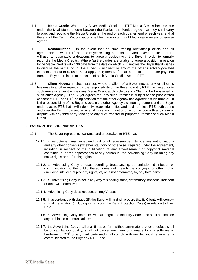- <span id="page-7-0"></span>11.1. **Media Credit:** Where any Buyer Media Credits or RTÉ Media Credits become due under the Deal Memorandum between the Parties, the Parties agree that they shall carry forward and reconcile the Media Credits at the end of each quarter, end of each year and at the end of the Term. Reconciliation shall be made in terms of Media value unless otherwise agreed.
- <span id="page-7-1"></span>11.2. **Reconciliation:** In the event that no such trading relationship exists and all agreements between RTÉ and the Buyer relating to the sale of Media have terminated, RTÉ will use its reasonable endeavours to agree a position with the Buyer in order to formally reconcile the Media Credits. Where (a) the parties are unable to agree a position in relation to the Media Credits within 30 days from the date on which RTÉ notifies the Buyer that it wishes to discuss the same; or (b) the Buyer is insolvent or any of the other insolvency-related elements set out in clause [16.2.4](#page-10-0) apply to it; then RTÉ shall be entitled to require payment from the Buyer in relation to the value of such Media Credit owed to RTÉ.
- 11.3. **Client Moves:** In circumstances where a Client of a Buyer moves any or all of its business to another Agency it is the responsibility of the Buyer to notify RTÉ in writing prior to such move whether it wishes any Media Credit applicable to such Client to be transferred to such other Agency. The Buyer agrees that any such transfer is subject to the prior written consent of RTÉ and RTÉ being satisfied that the other Agency has agreed to such transfer. It is the responsibility of the Buyer to obtain the other Agency's written agreement and the Buyer undertakes to RTÉ that it will indemnify, keep indemnified and hold harmless RTÉ, both during and after the Term, from and against all Loss arising out of or in connection with any claim or dispute with any third party relating to any such transfer or purported transfer of such Media Credit.

## **12. WARRANTIES AND INDEMNITIES**

- 12.1. The Buyer represents, warrants and undertakes to RTÉ that:
	- 12.1.1. it has obtained, maintained and paid for all necessary permits, licenses, authorisations and any other consents (whether statutory or otherwise) required under the Agreement, including in respect of the publication of any advertisement or copyright material contained in, or the appearances of any person in, the Advertising Copy including any music rights or performing rights;
	- 12.1.2. all Advertising Copy or use, recording, broadcasting, transmission, distribution or communication to the public thereof does not breach the copyright or other rights (including intellectual property rights) of, or is not defamatory to, any third party;
	- 12.1.3. all Advertising Copy is not in any way misleading, false, defamatory, obscene, indecent or otherwise offensive;
	- 12.1.4. Advertising Copy does not contain any Viruses;
	- 12.1.5. in accordance with clause [25,](#page-15-0) the Buyer will, and will procure that its Clients will, comply with all Legislation (including in particular the Data Protection Rules) in relation to User Data;
	- 12.1.6. all Advertising Copy complies with all Legal and Industry Codes and shall not include any prohibited communications;
	- 12.1.7. the Advertising Copy shall at all times perform without any material error or defect, shall be of satisfactory quality, shall not cause any harm or damage to any software or hardware of RTÉ or any third party and shall comply with any technical requirements communicated to the Buyer by RTÉ ; and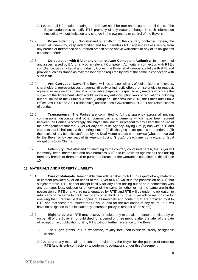- 12.1.8. that all information relating to the Buyer shall be true and accurate at all times. The Buyer undertakes to notify RTÉ promptly of any material change in such information (including without limitation any change in the ownership or control of the Buyer).
- 12.2. **Buyer Indemnity:** Notwithstanding anything to the contrary contained herein, the Buyer will indemnify, keep indemnified and hold harmless RTÉ against all Loss arising from any breach or threatened or purported breach of the above warranties or any of its obligations contained herein.
- 12.3. **Co-operation with BAI or any other relevant Competent Authority:** In the event of any issues raised by BAI or any other relevant Competent Authority in connection with RTÉ's compliance with any Legal and Industry Codes, the Buyer shall co-operate fully with RTÉ and provide such assistance as may reasonably be required by any of the same in connection with such issue.
- 12.4. **Anti-Corruption Laws:** The Buyer will not, and nor will any of their officers, employees, shareholders, representatives or agents, directly or indirectly offer, promise or give or request, agree to or receive any financial or other advantage with respect to any matters which are the subject of the Agreement which would violate any anti-corruption laws or regulations including but not limited to the Criminal Justice (Corruption Offences) Act 2018, the Ethics and Public Office Acts 1995 and 2001 (Ethics Acts) and the Local Government Act 2001 and related codes of conduct.
- 12.5. **Transparency:** The Parties are committed to full transparency across all pricing, commissions, discounts and other commercial arrangements which have been agreed between the Parties. Accordingly, the Buyer shall not misrepresent to any Client the nature of the arrangements that the Buyer (or any part of its Agency Buying Group) has with RTÉ and warrants that it shall not by: (i) entering into, or (ii) discharging its obligations hereunder, or (iii) the receipt of any benefits conferred by the Deal Memorandum or otherwise (whether received by the Buyer or by any part of its Agency Buying Group), breach any contractual or legal obligations to its Clients.
- 12.6. **Indemnity:** Notwithstanding anything to the contrary contained herein, the Buyer will indemnify, keep indemnified and hold harmless RTÉ and its Affiliates against all Loss arising from any breach or threatened or purported breach of the warranties contained in this clause [10.](#page-6-2)

## <span id="page-8-0"></span>**13. MATERIALS AND PROPERTY LIABILITY**

- 13.1. **Care of Materials:** Reasonable care will be taken by RTÉ in respect of any materials or content provided by or on behalf of the Buyer to RTÉ whilst in the possession of RTÉ, but subject thereto, RTÉ cannot accept liability for any Loss arising out of or in connection with any damage, loss, deletion or otherwise of the same (whether or not the same are in the possession of RTÉ or any third party engaged by RTÉ) and RTÉ will be under no obligation to return any of the same to the Buyer or any other third party. The Buyer will be responsible for ensuring that it retains backup copies of all materials and content that are provided by it to RTÉ and that these are insured for full value (and for the avoidance of any doubt, RTÉ will have no obligation to put in place any insurance policy in respect of the same).
- 13.2. **Right to delete:** RTÉ may destroy or delete any materials or content provided by or on behalf of the Buyer if not published for a period of three months after the later of the date of receipt or last publication of it by RTÉ without further reference to the Buyer.
	- 13.2.1. The Buyer grants RTÉ a worldwide, royalty free, non-exclusive, freely assignable licence:
	- 13.2.2. to use any materials and content provided by the Buyer for the purpose of enabling RTÉ (and its sub-contractors) to perform its obligations under this Agreement;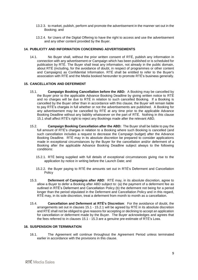- 13.2.3. to market, publish, perform and promote the advertisement in the manner set out in the Booking; and
- 13.2.4. for Users of the Digital Offering to have the right to access and use the advertisement and any other content provided by the Buyer.

#### <span id="page-9-3"></span>**14. PUBLICITY AND INFORMATION CONCERNING ADVERTISEMENTS**

14.1. No Buyer shall, without the prior written consent of RTÉ, publish any information in connection with any advertisement or Campaign which has been published or is scheduled for publication by RTÉ. The Buyer shall treat any information, not already in the public domain, about RTÉ (including, for the avoidance of doubt, in respect of programmes or other content and Campaigns) as Confidential Information. RTÉ shall be entitled to refer to the Buyer's association with RTÉ and the Media booked hereunder to promote RTÉ's business generally.

#### **15. CANCELLATION AND DEFERMENT**

- <span id="page-9-0"></span>15.1. **Campaign Booking Cancellation before the ABD:** A Booking may be cancelled by the Buyer prior to the applicable Advance Booking Deadline by giving written notice to RTÉ and no charges will be due to RTÉ in relation to such cancelled Booking. If a Booking is cancelled by the Buyer other than in accordance with this clause, the Buyer will remain liable to pay RTÉ's charges in full whether or not the advertisements are published. A Booking for any advertisement may be cancelled by RTÉ at any time prior to the applicable Advance Booking Deadline without any liability whatsoever on the part of RTÉ. Nothing in this clause [15.1](#page-9-0) shall affect RTÉ's right to reject any Bookings made after the relevant ABD.
- 15.2. **Campaign Booking Cancellation after the ABD:** The Buyer shall be liable to pay the full amount of RTÉ's charges in relation to a Booking where such Booking is cancelled (and such cancellation includes a request to decrease the Campaign budget) after the Advance Booking Deadline. RTÉ may in its absolute discretion be prepared to consider applications made in exceptional circumstances by the Buyer for the cancellation and/or deferment of a Booking after the applicable Advance Booking Deadline subject always to the following conditions:
	- 15.2.1. RTÉ being supplied with full details of exceptional circumstances giving rise to the application by notice in writing before the Launch Date; and
	- 15.2.2. the Buyer paying to RTÉ the amounts set out in RTÉ's Deferment and Cancellation Policy
- <span id="page-9-2"></span><span id="page-9-1"></span>15.3. **Deferment of Campaigns after ABD**: RTÉ may, in its absolute discretion, agree to allow a Buyer to defer a Booking after ABD subject to: (a) the payment of a deferment fee as outlined in RTÉ's Deferment and Cancellation Policy (b) the deferment not being for a period longer than the period stipulated in the Deferment and Cancellation Policy and in this regard, RTÉ may, in its sole discretion, treat a deferment from month to month as a cancellation.
- 15.4. **Cancellation and Deferment at RTÉ's Discretion**:For the avoidance of doubt, the arrangements set out in clauses [15.1](#page-9-0) - [15.2.1](#page-9-1) will be agreed by RTÉ in its absolute discretion and RTÉ shall not be obliged to give reasons for accepting or declining to accept an application for cancellation or deferment made by the Buyer. The Buyer acknowledges and agrees that the fees referred to in clauses [15.1](#page-9-0) - [15.3](#page-9-2) are a genuine pre-estimate of RTÉ's Loss.

#### **16. SUSPENSION OR TERMINATION**

16.1. The Agreement will continue throughout the Agreement Period unless terminated earlier in accordance with the provisions in this clause.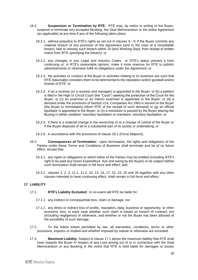- <span id="page-10-3"></span>16.2. **Suspension or Termination by RTÉ:** RTÉ may, by notice in writing to the Buyer, suspend or terminate any accepted Booking, the Deal Memorandum or the entire Agreement (as applicable) at any time if any of the following takes place:
	- 16.2.1. without prejudice to RTÉ's rights as set out in clauses [6](#page-3-3) [9,](#page-5-1) if the Buyer commits any material breach of any provision of the Agreement (and in the case of a remediable breach, fails to remedy such breach within 10 (ten) Working Days' from receipt of written notice from RTÉ specifying the breach); or
	- 16.2.2. any changes in any Legal and Industry Codes or RTÉ's status prevent it from continuing or, in RTÉ's reasonable opinion, make it more onerous for RTÉ to publish advertisements or otherwise fulfill its obligations under the Agreement; or
	- 16.2.3. the activities or conduct of the Buyer or activities relating to its business are such that RTÉ reasonably considers them to be detrimental to the reputation and/or goodwill and/or brands of RTÉ; or
	- 16.2.4. if (a) a receiver (or a receiver and manager) is appointed to the Buyer; or (b) a petition is filed in the High or Circuit Court (the "Court") seeking the protection of the Court for the Buyer; or (c) an examiner or an interim examiner is appointed to the Buyer; or (d) a demand under the provisions of Section 214, Companies Act 1963 is served on the Buyer (the Buyer to immediately inform RTÉ of the receipt of such demand) or (g) an official liquidator is appointed to the Buyer; or (h) a resolution is passed by the Buyer placing the Buying in either creditors' voluntary liquidation or members' voluntary liquidation; or
	- 16.2.5. if there is a material change in the ownership of or a change of control of the Buyer or if the Buyer disposes of all or a substantial part of its assets or undertaking; or
	- 16.2.6. in accordance with the provisions of clause [26.1](#page-16-0) (Force Majeure).
- <span id="page-10-0"></span>16.3. **Consequences of Termination:** Upon termination, the rights and obligations of the Parties under these Terms and Conditions of Business shall terminate and be of no future effect, except that:
	- 16.3.1. any rights or obligations to which either of the Parties may be entitled (including RTÉ's right to be paid any Gross Expenditure due and owing by the Buyer) or be subject before such termination shall remain in full force and effect; and
	- 16.3.2. clauses [1,](#page-1-0) [2,](#page-1-1) [3,](#page-1-2) [11.1,](#page-7-0) [11.2,](#page-7-1) [10,](#page-6-2) [13,](#page-8-0) [14,](#page-9-3) [17,](#page-10-1) [22,](#page-13-0) [23,](#page-15-1) [25](#page-15-0) and [26](#page-16-1) together with any other clauses intended to have continuing effect, shall remain in full force and effect.

#### <span id="page-10-1"></span>**17. LIABILITY**

- <span id="page-10-2"></span>17.1. **RTÉ's Liability Excluded:** In no event will RTÉ be liable for:
	- 17.1.1. any indirect or consequential loss, claim or damage; nor
	- 17.1.2. any direct or indirect loss of profits, reputation, data, business or opportunity, or other economic loss, in each case whether such claim is based on breach of contract, tort (including negligence) or otherwise, and whether or not the Buyer has been advised of the possibility of such damage.
- 17.2. To the fullest extent permitted by law, all warranties, conditions, terms or other provisions, express or implied and whether imposed by statute or otherwise are excluded.
- 17.3. **Maximum Liability:** Subject to clause [17.1](#page-10-2) above the maximum liability that RTÉ shall have towards the Buyer in respect of any Loss arising out of or in connection with the Deal Memorandum or any Booking in the event that RTÉ is held liable for damages or losses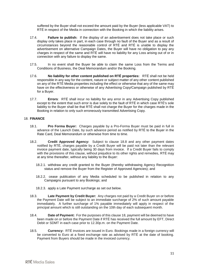suffered by the Buyer shall not exceed the amount paid by the Buyer (less applicable VAT) to RTÉ in respect of the Media in connection with the Booking in which the liability arises.

- 17.4. **Failure to publish:** If the display of an advertisement does not take place or such display only takes place in part, in each case through no fault of the Buyer and as a result of circumstances beyond the reasonable control of RTÉ and RTÉ is unable to display the advertisement on alternative Campaign Dates, the Buyer will have no obligation to pay any charges in respect of the same and RTÉ will have no liability for any Loss arising out of or in connection with any failure to display the same.
- 17.5. In no event shall the Buyer be able to claim the same Loss from the Terms and Conditions of Business, the Deal Memorandum and/or the Booking.
- 17.6. **No liability for other content published on RTÉ properties:** RTÉ shall not be held responsible in any way for the content, nature or subject matter of any other content published on any of the RTÉ Media properties including the effect or otherwise that any of the same may have on the effectiveness or otherwise of any Advertising Copy/Campaign published by RTÉ for a Buyer.
- 17.7. **Errors**: RTÉ shall incur no liability for any error in any Advertising Copy published except to the extent that such error is due solely to the fault of RTÉ in which case RTÉ's sole liability to the Buyer shall be that RTÉ shall not charge the Buyer for the charges made in the Booking in relation to only such erroneously transmitted Advertising Copy.

#### <span id="page-11-0"></span>18. **FINANCE**

- <span id="page-11-1"></span>18.1. **Pro Forma Buyer:** Charges payable by a Pro-Forma Buyer must be paid in full in advance of the Launch Date, by such advance period as notified by RTÉ to the Buyer in the Rate Card, Deal Memorandum or otherwise from time to time.
- <span id="page-11-2"></span>18.2. **Credit Approved Agency:** Subject to clause [18.8](#page-12-0) and any other payment dates notified by RTÉ, charges payable by a Credit Buyer will be paid not later than the relevant invoice payment date, typically being 30 days from invoice. If a Credit Buyer fails to comply with the provisions of this clause, without prejudice to its other rights and remedies, RTÉ may at any time thereafter, without any liability to the Buyer:
	- 18.2.1. withdraw any credit granted to the Buyer (thereby withdrawing Agency Recognition status and remove the Buyer from the Register of Approved Agencies); and
	- 18.2.2. cease publication of any Media scheduled to be published in relation to any Campaigns pursuant to any Bookings; and
	- 18.2.3. apply a Late Payment surcharge as set out below.
- <span id="page-11-3"></span>18.3. **Late Payment by Credit Buyer:** Any charges not paid by a Credit Buyer on or before the Payment Date will be subject to an immediate surcharge of 2% of such amount payable immediately. A further surcharge of 1% payable immediately will apply in respect of the principal amount which is still outstanding on the 10th day of each subsequent month.
- 18.4. **Date of Payment:** For the purposes of this clause [18,](#page-11-0) payment will be deemed to have been made on or before the Payment Date if RTÉ has received the full amount by EFT, Direct Debit or SDMT in each case prior to 12.30p.m. on the Payment Date.
- 18.5. **Currency:** RTÉ invoices are issued in Euro. Bookings made in a foreign currency will be converted to Euro at a fixed exchange rate as advised by RTÉ at the date of booking. Payment from Buyers should be made in the invoiced currency.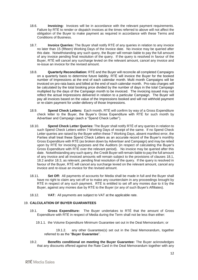- 18.6. **Invoicing:** Invoices will be in accordance with the relevant payment requirements. Failure by RTÉ to render or dispatch invoices at the times referred to above will not affect the obligation of the Buyer to make payment as required in accordance with these Terms and Conditions of Business.
- 18.7. **Invoice Queries:** The Buyer shall notify RTÉ of any queries in relation to any invoice no later than 15 (fifteen) Working Days of the invoice date. No invoice may be queried after this date. Notwithstanding any such query, the Buyer will remain liable to pay the full amount of any invoice pending final resolution of the query. If the query is resolved in favour of the Buyer, RTÉ will cancel any surcharge levied on the relevant amount, cancel any invoice and re-issue an invoice for the revised amount.
- <span id="page-12-0"></span>18.8. **Quarterly Reconciliation:** RTÉ and the Buyer will reconcile all completed Campaigns on a quarterly basis to determine future liability. RTÉ will invoice the Buyer for the booked number of Impressions at the end of each calendar month. Multi month Campaigns will be invoiced on pro-rata basis and billed at the end of each calendar month. Pro-rata charges will be calculated by the total booking price divided by the number of days in the total Campaign multiplied by the days of the Campaign month to be invoiced. The invoicing issued may not reflect the actual Impressions delivered in relation to a particular Campaign. The Buyer will pay all invoices based on the value of the Impressions booked and will not withhold payment or re-claim payment for under-delivery of those Impressions.
- <span id="page-12-2"></span>18.9. **Spend Check Letters:** Each month, RTÉ will confirm by way of a Gross Expenditure check letter to the Buyer, the Buyer's Gross Expenditure with RTÉ for such month by Advertiser and Campaign (each a "Spend Check Letter").
- 18.10. **Spend Check Letter Queries:** The Buyer shall notify RTÉ of any queries in relation to such Spend Check Letters within 7 Working Days of receipt of the same. If no Spend Check Letter queries are raised by the Buyer within these 7 Working Days, absent manifest error, the Parties shall treat these Spend Check Letters as an accurate record of the Buyer's monthly Gross Expenditure with RTÉ (as broken down by Advertiser and Campaign) and may be relied upon by RTÉ for invoicing purposes and the Auditors (in respect of calculating the Buyer's Gross Expenditure with RTÉ over the relevant period). No invoice may be queried after this date. Notwithstanding any such query, the Credit Buyer will remain liable to pay the full amount of any invoice and all invoiced amounts will remain subject to the provisions of clauses [18.1,](#page-11-1) [18.2](#page-11-2) and/or [18.3,](#page-11-3) as relevant, pending final resolution of the query. If the query is resolved in favour of the Buyer, RTÉ will cancel any surcharge levied on the relevant amount, cancel any invoice and re-issue an invoice for the revised amount.
- 18.11. **Set Off:** All payments of accounts for Media shall be made in full and the Buyer shall have no right to claim any set off or to make any counterclaim in any proceedings brought by RTÉ in respect of any such payment. RTÉ is entitled to set off any monies due to it by the Buyer, against any monies due by RTÉ to the Buyer (or any of such Buyer's Affiliates).
- 18.12. **VAT:** All payments are subject to VAT at the applicable rate.

## 19. **CALCULATION OF BUYER GUARANTEES**

- <span id="page-12-1"></span>19.1. **Gross Expenditure:** The Buyer undertakes to RTÉ that the amount of Gross Expenditure with RTÉ in respect of Media during the Term shall not be less than either:
	- 19.1.1. the Volume Expenditure Minimum Guarantee set out in the Deal Memorandum; or

19.1.2. any other Guarantee(s) set out in the Deal Memorandum, together referred to as the "**Buyer Guarantee**".

19.2. **Benefits conditional on meeting the Buyer Guarantee:** The Buyer acknowledges that any discounts offered against the Rate Card in the Deal Memorandum together with any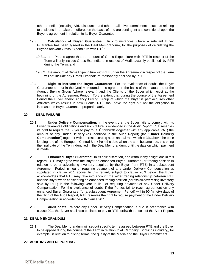other benefits (including ABD discounts, and other qualitative commitments, such as relating to positions-in-breaks) are offered on the basis of and are contingent and conditional upon the Buyer's agreement in relation to its Buyer Guarantee.

- 19.3. **Calculation of Buyer Guarantee:** In circumstances where a relevant Buyer Guarantee has been agreed in the Deal Memorandum, for the purposes of calculating the Buyer's relevant Gross Expenditure with RTÉ:
	- 19.3.1. the Parties agree that the amount of Gross Expenditure with RTÉ in respect of the Term will only include Gross Expenditure in respect of Media actually published by RTÉ during the Term; and
	- 19.3.2. the amount of Gross Expenditure with RTÉ under the Agreement in respect of the Term will not include any Gross Expenditure reasonably declined by RTÉ.
- 19.4. **Right to increase the Buyer Guarantee:** For the avoidance of doubt, the Buyer Guarantee set out in the Deal Memorandum is agreed on the basis of the status quo of the Agency Buying Group (where relevant) and the Clients of the Buyer which exist at the beginning of the Agreement Period. To the extent that during the course of the Agreement Period the Buyer and/or Agency Buying Group of which the Buyer is part acquires other Affiliates which results in new Clients, RTÉ shall have the right but not the obligation to increase the Buyer Guarantee proportionately.

#### **20. DEAL FAILURE**

- <span id="page-13-3"></span><span id="page-13-1"></span>20.1. **Under Delivery Compensation:** In the event that the Buyer fails to comply with its Buyer Guarantee obligations and such failure is evidenced in the Audit Report, RTÉ reserves its right to require the Buyer to pay to RTÉ forthwith (together with any applicable VAT) the amount of any Under Delivery (as identified in the Audit Report) (the "**Under Delivery Compensation**") together with interest accruing at an annual rate which is 3% above the base lending rate of the European Central Bank from the date when the sum became due, this being the final date of the Term identified in the Deal Memorandum, until the date on which payment is made.
- 20.2. **Enhanced Buyer Guarantee:** In its sole discretion, and without any obligations in this regard, RTÉ may agree with the Buyer an enhanced Buyer Guarantee (or trading position in relation to other advertising inventory acquired by the Buyer from RTÉ) in a subsequent Agreement Period in lieu of requiring payment of any Under Delivery Compensation as stipulated in clause [20.1](#page-13-1) above. In this regard, subject to clause [20.3](#page-13-2) below, the Buyer acknowledges that RTÉ may take into account the wider trading relationship between RTÉ and the Buyer when considering an enhanced trading position (across all advertising inventory sold by RTÉ) in the following year in lieu of requiring payment of any Under Delivery Compensation. For the avoidance of doubt, if the Parties fail to reach agreement on any enhanced Buyer Guarantee (for a subsequent Agreement Period) within 90 (ninety) days of the filing of the Audit Report, RTÉ reserves the right to require payment of the Under Delivery Compensation in accordance with clause [20.1.](#page-13-1)
- <span id="page-13-2"></span>20.3. **Audit costs:** Where any Under Delivery Compensation is due in accordance with clause [20.1](#page-13-1) the Buyer shall also be liable to pay to RTÉ forthwith the cost of the Audit Report*.*

## **21. DEAL MEMORANDUM**

21.1. The Deal Memorandum will set out specific terms agreed between RTÉ and the Buyer to be applied during the course of the Term in relation to all Campaign Bookings including, for example, in relation to pricing terms, the quality of the Media and the Buyer Commitment.

## <span id="page-13-0"></span>**22. AUDITING AND REPORTING**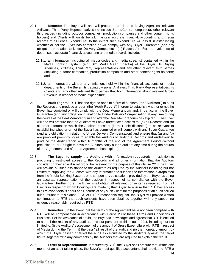- <span id="page-14-3"></span>22.1. **Records:** The Buyer will, and will procure that all of its Buying Agencies, relevant Affiliates, Third Party Representatives (to include Barter/Contra companies), other relevant third parties (including outdoor companies, production companies and other content rights holders) and Clients will, on its behalf, maintain accurate financial, accounting and media records of all Gross Expenditure to the extent such expenditure will assist in establishing whether or not the Buyer has complied or will comply with any Buyer Guarantee (and any obligation in relation to Under Delivery Compensation) ("**Records**"). For the avoidance of doubt, such accurate financial, accounting and media records include:
	- 22.1.1. all information (including all media codes and media streams) contained within the Media Booking System (e.g. DDS/MediaOcean Spectra) of the Buyer, its Buying Agencies, Affiliates, Third Party Representatives and any other relevant third parties (including outdoor companies, production companies and other content rights holders); and
	- 22.1.2. all information, without any limitation, held within the financial, accounts or media departments of the Buyer, its trading divisions, Affiliates, Third Party Representatives, its Clients and any other relevant third parties that hold information about relevant Gross Revenue in respect of Media expenditure.
- <span id="page-14-2"></span>22.2. **Audit Rights:** RTÉ has the right to appoint a firm of auditors (the "**Auditors**") to audit the Records and produce a report (the "**Audit Report**") in order to establish whether or not the Buyer has complied or will comply with the Deal Memorandum and, in particular, the Buyer Guarantee (and any obligation in relation to Under Delivery Compensation at any time during the course of the Deal Memorandum and after the Deal Memorandum has expired). The Buyer will and will procure that the Auditors will have unrestricted access to: (a) all Records and (b) all other information which the Auditors consider (in their sole discretion) to be relevant to establishing whether or not the Buyer has complied or will comply with any Buyer Guarantee (and any obligation in relation to Under Delivery Compensation) and ensure that (a) and (b) are provided promptly so as to enable the Auditors to audit the Records and endeavour to produce the Audit Report within 6 months of the end of the Agreement Period (without prejudice to RTÉ's right to have the Auditors carry out an audit at any time during the course of the Agreement and after the Agreement has expired).
- <span id="page-14-0"></span>22.3. **The Buyer to supply the Auditors with information requested:** In addition to procuring unrestricted access to the Records and all other information that the Auditors consider (in their sole discretion) to be relevant for the purpose of this clause [22.3](#page-14-0) the Buyer will provide all such assistance to the Auditors as required by the Auditors including but not limited to supplying the Auditors with any information to support the information extrapolated from the Media Booking Systems or to support any calculations provided by the Buyer as being an accurate representation of the position in respect of its compliance with the Buyer Guarantee. Furthermore, the Buyer shall obtain all relevant consents (as required) from all Clients in respect of whom Bookings are made by that Buyer, to ensure that RTÉ has access to all relevant details about and Records of any such Client for the purposes of an audit carried out pursuant to this clause [22.3.](#page-14-0) At RTÉ's reasonable request, the Buyer will provide written confirmation to RTÉ that such consents have been obtained together with any supporting evidence reasonably required by RTÉ.
- <span id="page-14-1"></span>22.4. **Remedies:** In the event that the terms of the Agreement have not been complied with RTÉ will be compensated in accordance with clause [20](#page-13-3) of these Terms and Conditions of Business. For the avoidance of doubt, the Buyer acknowledges and agrees that RTÉ is entitled to see all the results of any audit carried out pursuant to this clause [22.4,](#page-14-1) including but not limited to: (i) the Auditors' assessment of the amount of Gross Expenditure with RTÉ in respect of Media during the Term, (ii) the pass/fail result of the audit and (ii) the monetary amount by which the Buyer passed or failed the audit as calculated by the Auditors against the target figure, together with any comments by the Auditors that are required to explain the result.
- 22.5. **Letter of Representation:** If required by RTÉ, the Buyer shall procure that, within one month of an audit taking place, the Buyer's most qualified accountant shall provide to RTÉ a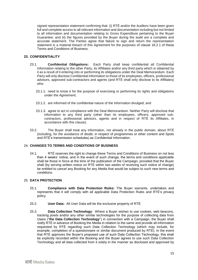signed representation statement confirming that: (i) RTÉ and/or the Auditors have been given full and complete access to all relevant information and documentation including but not limited to all information and documentation relating to Gross Expenditure pertaining to the Buyer Guarantee; and (ii) the figures provided by the Buyer during the audit are a complete and accurate statement. The Parties agree that failure to sign and return the representation statement is a material breach of this Agreement for the purposes of clause [16.2.1](#page-10-3) of these Terms and Conditions of Business.

# <span id="page-15-1"></span>**23. CONFIDENTIALITY**

- 23.1. **Confidential Obligations:** Each Party shall keep confidential all Confidential Information relating to the other Party, its Affiliates and/or any third party which is obtained by it as a result of it entering into or performing its obligations under the Deal Memorandum. Each Party will only disclose Confidential Information to those of its employees, officers, professional advisors, approved sub-contractors and agents (and RTÉ shall only disclose to its Affiliates) who:
	- 23.1.1. need to know it for the purpose of exercising or performing its rights and obligations under the Agreement;
	- 23.1.2. are informed of the confidential nature of the information divulged; and
	- 23.1.3. agree to act in compliance with the Deal Memorandum. Neither Party will disclose that information to any third party (other than its employees, officers, approved subcontractors, professional advisors, agents and in respect of RTÉ its Affiliates, in accordance with this clause).
- 23.2. The Buyer shall treat any information, not already in the public domain, about RTÉ (including, for the avoidance of doubt, in respect of programmes or other content and Spots and RTÉ's transmission schedules) as Confidential Information.

## 24. **CHANGES TO TERMS AND CONDITIONS OF BUSINESS**

24.1. RTÉ reserves the right to change these Terms and Conditions of Business on not less than 4 weeks' notice, and in the event of such change, the terms and conditions applicable shall be those in force at the time of the publication of the Campaign, provided that the Buyer shall (by serving written notice on RTÉ within two weeks of receiving such notice of change) be entitled to cancel any Booking for any Media that would be subject to such new terms and conditions.

## <span id="page-15-0"></span>25. **DATA PROTECTION**

- 25.1. **Compliance with Data Protection Rules:** The Buyer warrants, undertakes and represents that it will comply with all applicable Data Protection Rules and RTÉ's privacy policy.
- 25.2. **User Data:** All User Data will be the exclusive property of RTÉ.
- 25.3. **Data Collection Technology**: Where a Buyer wishes to use cookies, web beacons, tracking pixels and/or any other similar technologies for the purpose of collecting data from Users ("**the Data Collection Technology**") in connection with a Campaign, the Buyer shall notify RTÉ in advance of Booking the Media in relation to the same and provide all information requested by RTÉ regarding such Data Collection Technology (which may include, for example, completion of a questionnaire or similar document produced by RTÉ). In the event that RTÉ approves the Buyer's proposed use of such Data Collection Technology, this shall be explicitly recorded within the Booking and the Buyer agrees to use such Data Collection Technology and all data collected from it solely in the manner as disclosed and approved by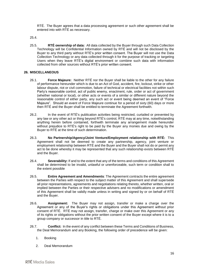RTÉ. The Buyer agrees that a data processing agreement or such other agreement shall be entered into with RTÉ as necessary.

- 25.4.
- 25.5. **RTÉ ownership of data:** All data collected by the Buyer through such Data Collection Technology will be Confidential Information owned by RTÉ and will not be disclosed by the Buyer to any third party without RTÉ's prior written consent. The Buyer will not use the Data Collection Technology or any data collected through it for the purpose of tracking or targeting Users when they leave RTÉ's digital environment or combine such data with information collected from other sources without RTÉ's prior written consent.

## <span id="page-16-1"></span>**26. MISCELLANEOUS**

- <span id="page-16-0"></span>26.1. **Force Majeure:** Neither RTÉ nor the Buyer shall be liable to the other for any failure of performance hereunder which is due to an Act of God, accident, fire, lockout, strike or other labour dispute, riot or civil commotion, failure of technical or electrical facilities not within such Party's reasonable control, act of public enemy, enactment, rule, order or act of government (whether national or local), or other acts or events of a similar or different nature beyond the reasonable control of either party, any such act or event being deemed an event of "Force Majeure". Should an event of Force Majeure continue for a period of sixty (60) days or more then RTÉ and the Buyer shall be entitled to terminate the Agreement forthwith.
- 26.2. In the event of RTÉ's publication activities being restricted, curtailed or prevented by any law or any other act or thing beyond RTÉ's control, RTÉ may at any time, notwithstanding anything herein before contained, forthwith terminate any arrangement made hereunder without prejudice to RTÉ's right to be paid by the Buyer any monies due and owing by the Buyer to RTÉ at the time of such determination.
- 26.3. **No Partnership/Agency/Joint Venture/Employment relationship with RTÉ:** This Agreement shall not be deemed to create any partnership, agency, joint venture or employment relationship between RTÉ and the Buyer and the Buyer shall not do or permit any act to be done whereby it may be represented that any such relationship exists between RTÉ and the Buyer.
- 26.4. **Severability:** If and to the extent that any of the terms and conditions of this Agreement shall be determined to be invalid, unlawful or unenforceable, such term or condition shall to the extent possible
- 26.5. **Entire Agreement and Amendments**: The Agreement contracts the entire agreement between the Parties with respect to the subject matter of this Agreement and shall supersede all prior representations, agreements and negotiations relating thereto, whether written, oral or implied between the Parties or their respective advisers and no modifications or amendment of this Agreement shall be validly made unless in writing and signed by or on behalf of RTÉ and the Buyer.
- 26.6. **Assignment:** The Buyer may not assign, transfer or make a charge over the Agreement or any of the Buyer's rights or obligations under this Agreement without prior consent of RTÉ. RTÉ may not assign, transfer, charge or make over this Agreement or any of its rights or obligations without the prior written consent of the Buyer except where it is to a group company or successor in title to RTÉ.
- 26.7. **Conflict:** In the event of any conflict between these Terms and Conditions of Business, the Deal Memorandum and any Booking, the following order of precedence will be given:
	- 1. Booking
	- 2. Deal Memorandum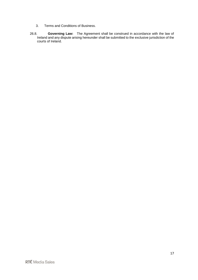- 3. Terms and Conditions of Business.
- 26.8. **Governing Law:** The Agreement shall be construed in accordance with the law of Ireland and any dispute arising hereunder shall be submitted to the exclusive jurisdiction of the courts of Ireland.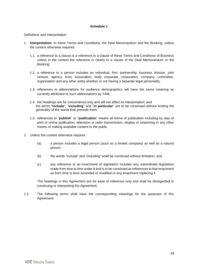#### **Schedule 1**

Definitions and Interpretation

- 1. **Interpretation:** In these Terms and Conditions, the Deal Memorandum and the Booking, unless the context otherwise requires:
	- 1.1. a reference to a clause is a reference to a clause of these Terms and Conditions of Business unless in the context the reference is clearly to a clause of the Deal Memorandum or the Booking;
	- 1.2. a reference to a person includes an individual, firm, partnership, business division, joint venture, agency, trust, association, body corporate, corporation, company, committee, organisation and any other entity whether or not having a separate legal personality;
	- 1.3. references to abbreviations for audience demographics will have the same meaning as currently attributed to such abbreviations by TAM;
	- 1.4. the headings are for convenience only and will not affect its interpretation; and the terms "**include**", "**including**" and "**in particular**" are to be construed without limiting the generality of the words that precede them
	- 1.5. references to "**publish**" or "**publication**" means all forms of publication including by way of print or online publication, television or radio transmission, display or streaming or any other means of making available content to the public.
- 2. Unless the context otherwise requires:
	- (a) a person includes a legal person (such as a limited company) as well as a natural person;
	- (b) the words "include" and "including" shall be construed without limitation; and
	- (c) any reference to an enactment of legislation includes any subordinate legislation made from time to time under it and is to be construed as references to that enactment as from time to time amended or modified or any enactment replacing it.

The headings in this Agreement are for ease of reference only and shall be disregarded in construing or interpreting the Agreement.

1.3 The following terms shall have the corresponding meanings for the purposes of this Agreement: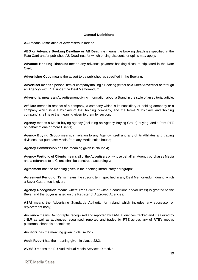#### **General Definitions**

**AAI** means Association of Advertisers in Ireland;

**ABD or Advance Booking Deadline or AB Deadline** means the booking deadlines specified in the Rate Card and/or published AB Deadlines for which pricing discounts or uplifts may apply;

**Advance Booking Discount** means any advance payment booking discount stipulated in the Rate Card;

**Advertising Copy** means the advert to be published as specified in the Booking;

**Advertiser** means a person, firm or company making a Booking (either as a Direct Advertiser or through an Agency) with RTÉ under the Deal Memorandum;

**Advertorial** means an Advertisement giving information about a Brand in the style of an editorial article;

**Affiliate** means in respect of a company, a company which is its subsidiary or holding company or a company which is a subsidiary of that holding company, and the terms 'subsidiary' and 'holding company' shall have the meaning given to them by section;

**Agency** means a Media buying agency (including an Agency Buying Group) buying Media from RTÉ on behalf of one or more Clients;

**Agency Buying Group** means, in relation to any Agency, itself and any of its Affiliates and trading divisions that purchase Media from any Media sales house;

**Agency Commission** has the meaning given in clause [4;](#page-2-0)

**Agency Portfolio of Clients** means all of the Advertisers on whose behalf an Agency purchases Media and a reference to a 'Client' shall be construed accordingly;

**Agreement** has the meaning given in the opening introductory paragraph;

**Agreement Period or Term** means the specific term specified in any Deal Memorandum during which a Buyer Guarantee is given;

**Agency Recognition** means where credit (with or without conditions and/or limits) is granted to the Buyer and the Buyer is listed on the Register of Approved Agencies;

**ASAI** means the Advertising Standards Authority for Ireland which includes any successor or replacement body;

**Audience** means Demographs recognised and reported by TAM, audiences tracked and measured by JNLR as well as audiences recognised, reported and traded by RTÉ across any of RTÉ's media, platforms, channels or stations;

**Auditors** has the meaning given in clause [22.2;](#page-14-2)

**Audit Report** has the meaning given in clause [22.2;](#page-14-2)

**AVMSD** means the EU Audiovisual Media Services Directive;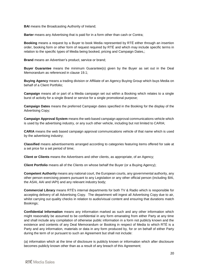**BAI** means the Broadcasting Authority of Ireland:

**Barter** means any Advertising that is paid for in a form other than cash or Contra;

**Booking** means a request by a Buyer to book Media represented by RTÉ either through an insertion order, booking form or other form of request required by RTÉ and which may include specific terms in relation to the specific types of Media being booked, pricing and Campaign Dates,;

**Brand** means an Advertiser's product, service or brand;

**Buyer Guarantee** means the minimum Guarantee(s) given by the Buyer as set out in the Deal Memorandum as referenced in clause [19.1;](#page-12-1)

**Buying Agency** means a trading division or Affiliate of an Agency Buying Group which buys Media on behalf of a Client Portfolio;

**Campaign** means all or part of a Media campaign set out within a Booking which relates to a single burst of activity for a single Brand or service for a single promotional purpose;

**Campaign Dates** means the preferred Campaign dates specified in the Booking for the display of the Advertising Copy;

**Campaign Approval System** means the web based campaign approval communications vehicle which is used by the advertising industry, or any such other vehicle, including but not limited to CARIA;

**CARIA** means the web based campaign approval communications vehicle of that name which is used by the advertising industry;

**Classified** means advertisements arranged according to categories featuring items offered for sale at a set price for a set period of time;

**Client or Clients** means the Advertisers and other clients, as appropriate, of an Agency;

**Client Portfolio** means all of the Clients on whose behalf the Buyer (or a Buying Agency);

**Competent Authority** means any national court, the European courts, any governmental authority, any other person exercising powers pursuant to any Legislation or any other official person (including BAI, the ASAI, AAI and IAPI) and any relevant industry body;

**Commercial Library** means RTÉ's internal departments for both TV & Radio which is responsible for accepting delivery of all Advertising Copy. The department will ingest all Advertising Copy due to air, whilst carrying out quality checks in relation to audio/visual content and ensuring that durations match Bookings;

**Confidential Information** means any information marked as such and any other information which might reasonably be assumed to be confidential in any form emanating from either Party at any time and shall include any compilation of otherwise public information in a form not publicly known and the existence and contents of any Deal Memorandum or Booking in respect of Media to which RTÉ is a Party and any information, materials or data in any form produced by, for or on behalf of either Party during the term of or pursuant to such an Agreement but shall not include:

(a) information which at the time of disclosure is publicly known or information which after disclosure becomes publicly known other than as a result of any breach of this Agreement;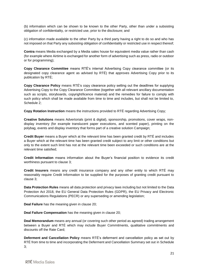(b) information which can be shown to be known to the other Party, other than under a subsisting obligation of confidentiality, or restricted use, prior to the disclosure; and

(c) information made available to the other Party by a third party having a right to do so and who has not imposed on that Party any subsisting obligation of confidentiality or restricted use in respect thereof;

**Contra** means Media exchanged by a Media sales house for equivalent media value rather than cash (for example where Airtime is exchanged for another form of advertising such as press, radio or outdoor or for programming);

**Copy Clearance Committee** means RTÉ's internal Advertising Copy clearance committee (or its designated copy clearance agent as advised by RTÉ) that approves Advertising Copy prior to its publication by RTÉ;

**Copy Clearance Policy** means RTÉ's copy clearance policy setting out the deadlines for supplying Advertising Copy to the Copy Clearance Committee (together with all relevant ancillary documentation such as scripts, storyboards, copyright/licence material) and the remedies for failure to comply with such policy which shall be made available from time to time and includes, but shall not be limited to, Schedule 2;

**Copy Rotation Instruction** means the instructions provided to RTÉ regarding Advertising Copy;

**Creative Solutions** means Advertorials (print & digital), sponsorship, promotions, cover wraps, nondisplay inventory (for example translucent paper executions, and scented paper), printing on the polybag, events and display inventory that forms part of a creative solution Campaign;

**Credit Buyer** means a Buyer which at the relevant time has been granted credit by RTÉ and includes a Buyer which at the relevant time has been granted credit subject to any limit or other conditions but only to the extent such limit has not at the relevant time been exceeded or such conditions are at the relevant time satisfied;

**Credit Information** means information about the Buyer's financial position to evidence its credit worthiness pursuant to clause [3;](#page-1-2)

**Credit Insurers** means any credit insurance company and any other entity to which RTÉ may reasonably require Credit Information to be supplied for the purposes of granting credit pursuant to clause [3;](#page-1-2)

**Data Protection Rules** means all data protection and privacy laws including but not limited to the Data Protection Act 2018, the EU General Data Protection Rules (GDPR), the EU Privacy and Electronic Communications Regulations (PECR) or any superseding or amending legislation;

**Deal Failure** has the meaning given in clause [20;](#page-13-3)

**Deal Failure Compensation** has the meaning given in clause [20;](#page-13-3)

**Deal Memorandum** means any annual (or covering such other period as agreed) trading arrangement between a Buyer and RTÉ which may include Buyer Commitments, qualitative commitments and discounts off the Rate Card;

**Deferment and Cancellation Policy** means RTÉ's deferment and cancellation policy as set out by RTÉ from time to time and incorporating the Deferment and Cancellation Summary set out in Schedule 3;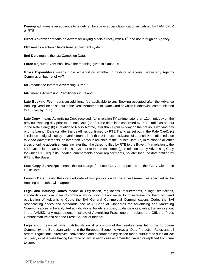**Demograph** means an audience type defined by age or social classification as defined by TAM, JNLR or RTÉ;

**Direct Advertiser** means an Advertiser buying Media directly with RTÉ and not through an Agency;

**EFT** means electronic funds transfer payment system;

**End Date** means the last Campaign Date;

**Force Majeure Event** shall have the meaning given in clause [26.1](#page-16-0)

**Gross Expenditure** means gross expenditure, whether in cash or otherwise, before any Agency Commission but net of VAT;

**IAB** means the Internet Advertising Bureau;

**IAPI** means Advertising Practitioners in Ireland;

**Late Booking Fee** means an additional fee applicable to any Booking accepted after the Advance Booking Deadline as set out in the Deal Memorandum, Rate Card or which is otherwise communicated to a Buyer by RTÉ;

**Late Copy** means Advertising Copy received: (a) in relation TV airtime, later than 12pm midday on the previous working day prior to Launch Date (or after the deadlines confirmed by RTÉ Traffic as set out in the Rate Card); (b) in relation to Radio Airtime, later than 12pm midday on the previous working day prior to Launch Date (or after the deadlines confirmed by RTÉ Traffic as set out in the Rate Card); (c) in relation to digital display advertisements, later than 24 hours in advance of Launch Date; (d) in relation to Video Advertisements, no later than 5 days in advance of the Launch Date; (e) in relation to all other types of online advertisements, no later than the dates notified by RTÉ to the Buyer; (f) in relation to the RTÉ Guide, later than 5 business days prior to the on-sale date, (g) in relation to any Advertising Copy for which RTÉ requests updates, amendments and/or replacements, no later than the date notified by RTÉ to the Buyer;

Late Copy Surcharge means the surcharge for Late Copy as stipulated in the Copy Clearance Guidelines**;** 

**Launch Date** means the intended date of first publication of the advertisement as specified in the Booking or as otherwise agreed;

**Legal and Industry Codes** means all Legislation, regulations, requirements, rulings, restrictions, standards, directions, rules of common law including but not limited to those relevant to the buying and publication of Advertising Copy, the BAI General Commercial Communications Code, the BAI broadcasting codes and standards, the ASAI Code of Standards for Advertising and Marketing Communications in Ireland, AAI adjudications, bulletins, codes, guidance notes, rules, the laws set out in the AVMSD, any requirements, Institute of Advertising Practitioners in Ireland, the Office of Press Ombudsman Ireland and the Press Council of Ireland;

**Legislation** means all laws, Irish legislation all provisions of the Treaties constituting the European Community, the European Union and the European Economic Area, all Data Protection Rules and all orders, regulations, directives, conventions and subordinate legislation made pursuant to such an Act or Treaty or otherwise having the force of law, in each case as amended, varied or replaced from time to time;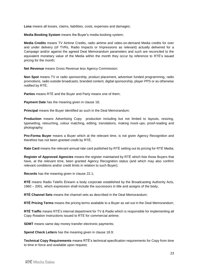**Loss** means all losses, claims, liabilities, costs, expenses and damages;

**Media Booking System** means the Buyer's media booking system;

**Media Credits** means TV Airtime Credits, radio airtime and video-on-demand Media credits for over and under delivery (of TVRs, Radio Impacts or Impressions as relevant) actually delivered for a Campaign and/or against the agreed Deal Memorandum parameters and such are reconciled to the equivalent monetary value of the Media within the month they occur by reference to RTÉ's issued pricing for the month;

**Net Revenue** means Gross Revenue less Agency Commission;

**Non Spot** means TV or radio sponsorship, product placement, advertiser funded programming, radio promotions, radio outside broadcasts, branded content, digital sponsorship, player PPS or as otherwise notified by RTÉ;

**Parties** means RTÉ and the Buyer and Party means one of them;

**Payment Date** has the meaning given in clause [18;](#page-11-0)

**Principal** means the Buyer identified as such in the Deal Memorandum;

**Production** means Advertising Copy production including but not limited to layouts, resizing, typesetting, retouching, colour matching, editing, translations, making mock-ups, proof-reading and photography;

**Pro-Forma Buyer** means a Buyer which at the relevant time, is not given Agency Recognition and therefore has not been granted credit by RTÉ;

**Rate Card** means the relevant annual rate card published by RTÉ setting out its pricing for RTÉ Media;

**Register of Approved Agencies** means the register maintained by RTÉ which lists those Buyers that have, at the relevant time, been granted Agency Recognition status (and which may also confirm relevant conditions and/or credit limits in relation to such Buyer);

**Records** has the meaning given in clause [22.1;](#page-14-3)

**RTÉ** means Radio Telefís Éireann a body corporate established by the Broadcasting Authority Acts, 1960 – 2001, which expression shall include the successors in title and assigns of the body;

**RTÉ Channel Sets** means the channel sets as described in the Deal Memorandum;

**RTÉ Pricing Terms** means the pricing terms available to a Buyer as set out in the Deal Memorandum;

**RTÉ Traffic** means RTÉ's internal department for TV & Radio which is responsible for implementing all Copy Rotation Instructions issued to RTÉ for commercial airtime;

**SDMT** means same day money transfer electronic payments;

**Spend Check Letters** has the meaning given in clause [18.9;](#page-12-2)

**Technical Copy Requirements** means RTÉ's technical specification requirements for Copy from time to time in force and available upon request;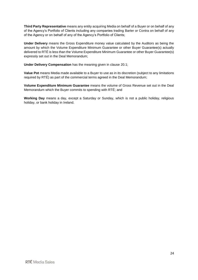**Third Party Representative** means any entity acquiring Media on behalf of a Buyer or on behalf of any of the Agency's Portfolio of Clients including any companies trading Barter or Contra on behalf of any of the Agency or on behalf of any of the Agency's Portfolio of Clients;

**Under Delivery** means the Gross Expenditure money value calculated by the Auditors as being the amount by which the Volume Expenditure Minimum Guarantee or other Buyer Guarantee(s) actually delivered to RTÉ is less than the Volume Expenditure Minimum Guarantee or other Buyer Guarantee(s) expressly set out in the Deal Memorandum;

**Under Delivery Compensation** has the meaning given in clause [20.1;](#page-13-1)

**Value Pot** means Media made available to a Buyer to use as in its discretion (subject to any limitations required by RTÉ) as part of the commercial terms agreed in the Deal Memorandum;

**Volume Expenditure Minimum Guarantee** means the volume of Gross Revenue set out in the Deal Memorandum which the Buyer commits to spending with RTÉ; and

**Working Day** means a day, except a Saturday or Sunday, which is not a public holiday, religious holiday, or bank holiday in Ireland.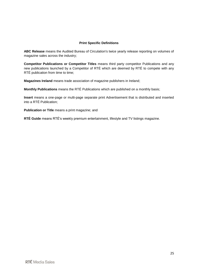## **Print Specific Definitions**

**ABC Release** means the Audited Bureau of Circulation's twice yearly release reporting on volumes of magazine sales across the industry;

**Competitor Publications or Competitor Titles** means third party competitor Publications and any new publications launched by a Competitor of RTÉ which are deemed by RTÉ to compete with any RTÉ publication from time to time;

**Magazines Ireland** means trade association of magazine publishers in Ireland;

**Monthly Publications** means the RTÉ Publications which are published on a monthly basis;

**Insert** means a one-page or multi-page separate print Advertisement that is distributed and inserted into a RTÉ Publication;

**Publication or Title** means a print magazine; and

**RTÉ Guide** means RTÉ's weekly premium entertainment, lifestyle and TV listings magazine.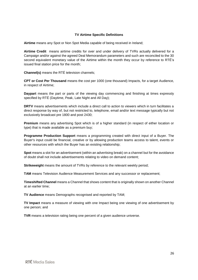## **TV Airtime Specific Definitions**

**Airtime** means any Spot or Non Spot Media capable of being received in Ireland;

**Airtime Credit** means airtime credits for over and under delivery of TVRs actually delivered for a Campaign and/or against the agreed Deal Memorandum parameters and such are reconciled to the 30 second equivalent monetary value of the Airtime within the month they occur by reference to RTÉ's issued final station price for the month;

**Channel(s)** means the RTÉ television channels;

**CPT or Cost Per Thousand** means the cost per 1000 (one thousand) Impacts, for a target Audience, in respect of Airtime;

**Daypart** means the part or parts of the viewing day commencing and finishing at times expressly specified by RTÉ (Daytime, Peak, Late Night and All Day);

**DRTV** means advertisements which include a direct call to action to viewers which in turn facilitates a direct response by way of, but not restricted to, telephone, email and/or text message typically but not exclusively broadcast pre 1800 and post 2430;

**Premium** means any advertising Spot which is of a higher standard (in respect of either location or type) that is made available as a premium buy;

**Programme Production Support** means a programming created with direct input of a Buyer. The Buyer's input could be financial, creative or by allowing production teams access to talent, events or other resources with which the Buyer has an existing relationship;

**Spot** means a slot for an advertisement (within an advertising break) on a channel but for the avoidance of doubt shall not include advertisements relating to video on demand content;

**Strikeweight** means the amount of TVRs by reference to the relevant weekly period;

**TAM** means Television Audience Measurement Services and any successor or replacement;

**Timeshifted Channel** means a Channel that shows content that is originally shown on another Channel at an earlier time;

**TV Audience** means Demographs recognised and reported by TAM;

**TV Impact** means a measure of viewing with one Impact being one viewing of one advertisement by one person; and

**TVR** means a television rating being one percent of a given audience universe.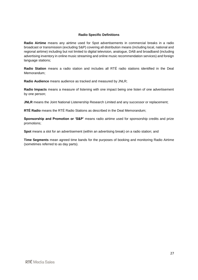## **Radio Specific Definitions**

**Radio Airtime** means any airtime used for Spot advertisements in commercial breaks in a radio broadcast or transmission (excluding S&P) covering all distribution means (including local, national and regional airtime) including but not limited to digital television, analogue, DAB and broadband (including advertising inventory in online music streaming and online music recommendation services) and foreign language stations;

**Radio Station** means a radio station and includes all RTÉ radio stations identified in the Deal Memorandum;

**Radio Audience** means audience as tracked and measured by JNLR;

**Radio Impacts** means a measure of listening with one impact being one listen of one advertisement by one person;

**JNLR** means the Joint National Listenership Research Limited and any successor or replacement;

**RTÉ Radio** means the RTÉ Radio Stations as described in the Deal Memorandum;

**Sponsorship and Promotion or 'S&P'** means radio airtime used for sponsorship credits and prize promotions;

**Spot** means a slot for an advertisement (within an advertising break) on a radio station; and

**Time Segments** mean agreed time bands for the purposes of booking and monitoring Radio Airtime (sometimes referred to as day parts).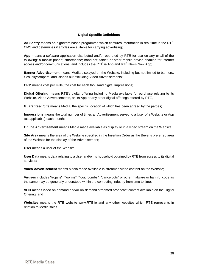## **Digital Specific Definitions**

**Ad Sentry** means an algorithm based programme which captures information in real time in the RTÉ CMS and determines if articles are suitable for carrying advertising;

**App** means a software application distributed and/or operated by RTÉ for use on any or all of the following: a mobile phone; smartphone; hand set; tablet; or other mobile device enabled for internet access and/or communications, and includes the RTÉ.ie App and RTÉ News Now App;

**Banner Advertisement** means Media displayed on the Website, including but not limited to banners, tiles, skyscrapers, and islands but excluding Video Advertisements;

**CPM** means cost per mille, the cost for each thousand digital Impressions;

**Digital Offering** means RTÉ's digital offering including Media available for purchase relating to its Website, Video Advertisements, on its App or any other digital offerings offered by RTÉ.

**Guaranteed Site** means Media, the specific location of which has been agreed by the parties;

**Impressions** means the total number of times an Advertisement served to a User of a Website or App (as applicable) each month;

**Online Advertisement** means Media made available as display or in a video stream on the Website;

**Site Area** means the area of the Website specified in the Insertion Order as the Buyer's preferred area of the Website for the display of the Advertisement;

**User** means a user of the Website;

**User Data** means data relating to a User and/or its household obtained by RTÉ from access to its digital services;

**Video Advertisement** means Media made available in streamed video content on the Website;

**Viruses** includes "trojans", "worms", "logic bombs", "cancelbots" or other malware or harmful code as the same may be generally understood within the computing industry from time to time;

**VOD** means video on demand and/or on-demand streamed broadcast content available on the Digital Offering; and

**Websites** means the RTÉ website www.RTE.ie and any other websites which RTÉ represents in relation to Media sales.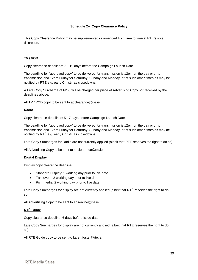## **Schedule 2– Copy Clearance Policy**

This Copy Clearance Policy may be supplemented or amended from time to time at RTÉ's sole discretion.

## **TV / VOD**

Copy clearance deadlines: 7 – 10 days before the Campaign Launch Date.

The deadline for "approved copy" to be delivered for transmission is 12pm on the day prior to transmission and 12pm Friday for Saturday, Sunday and Monday, or at such other times as may be notified by RTÉ e.g. early Christmas closedowns.

A Late Copy Surcharge of €250 will be charged per piece of Advertising Copy not received by the deadlines above.

All TV / VOD copy to be sent to adclearance@rte.ie

#### **Radio**

Copy clearance deadlines: 5 - 7 days before Campaign Launch Date.

The deadline for "approved copy" to be delivered for transmission is 12pm on the day prior to transmission and 12pm Friday for Saturday, Sunday and Monday, or at such other times as may be notified by RTÉ e.g. early Christmas closedowns.

Late Copy Surcharges for Radio are not currently applied (albeit that RTÉ reserves the right to do so).

All Advertising Copy to be sent to adclearance@rte.ie.

#### **Digital Display**

Display copy clearance deadline:

- Standard Display: 1 working day prior to live date
- Takeovers: 2 working day prior to live date
- Rich media: 2 working day prior to live date

Late Copy Surcharges for display are not currently applied (albeit that RTÉ reserves the right to do so).

All Advertising Copy to be sent to adsonline@rte.ie.

#### **RTÉ Guide**

Copy clearance deadline: 6 days before issue date

Late Copy Surcharges for display are not currently applied (albeit that RTÉ reserves the right to do so).

All RTÉ Guide copy to be sent to karen.foster@rte.ie.